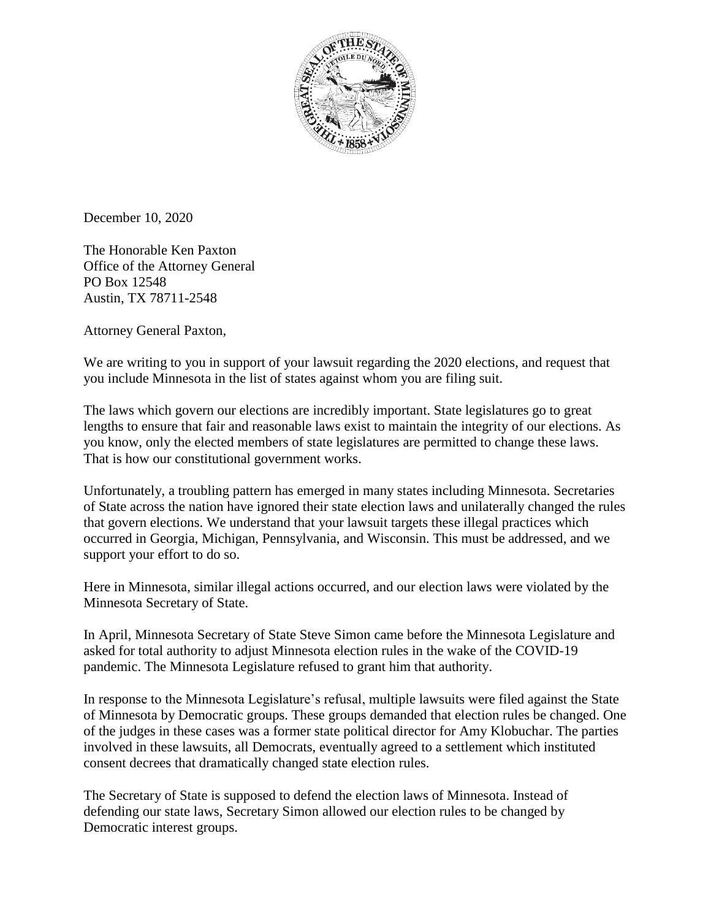

December 10, 2020

The Honorable Ken Paxton Office of the Attorney General PO Box 12548 Austin, TX 78711-2548

Attorney General Paxton,

We are writing to you in support of your lawsuit regarding the 2020 elections, and request that you include Minnesota in the list of states against whom you are filing suit.

The laws which govern our elections are incredibly important. State legislatures go to great lengths to ensure that fair and reasonable laws exist to maintain the integrity of our elections. As you know, only the elected members of state legislatures are permitted to change these laws. That is how our constitutional government works.

Unfortunately, a troubling pattern has emerged in many states including Minnesota. Secretaries of State across the nation have ignored their state election laws and unilaterally changed the rules that govern elections. We understand that your lawsuit targets these illegal practices which occurred in Georgia, Michigan, Pennsylvania, and Wisconsin. This must be addressed, and we support your effort to do so.

Here in Minnesota, similar illegal actions occurred, and our election laws were violated by the Minnesota Secretary of State.

In April, Minnesota Secretary of State Steve Simon came before the Minnesota Legislature and asked for total authority to adjust Minnesota election rules in the wake of the COVID-19 pandemic. The Minnesota Legislature refused to grant him that authority.

In response to the Minnesota Legislature's refusal, multiple lawsuits were filed against the State of Minnesota by Democratic groups. These groups demanded that election rules be changed. One of the judges in these cases was a former state political director for Amy Klobuchar. The parties involved in these lawsuits, all Democrats, eventually agreed to a settlement which instituted consent decrees that dramatically changed state election rules.

The Secretary of State is supposed to defend the election laws of Minnesota. Instead of defending our state laws, Secretary Simon allowed our election rules to be changed by Democratic interest groups.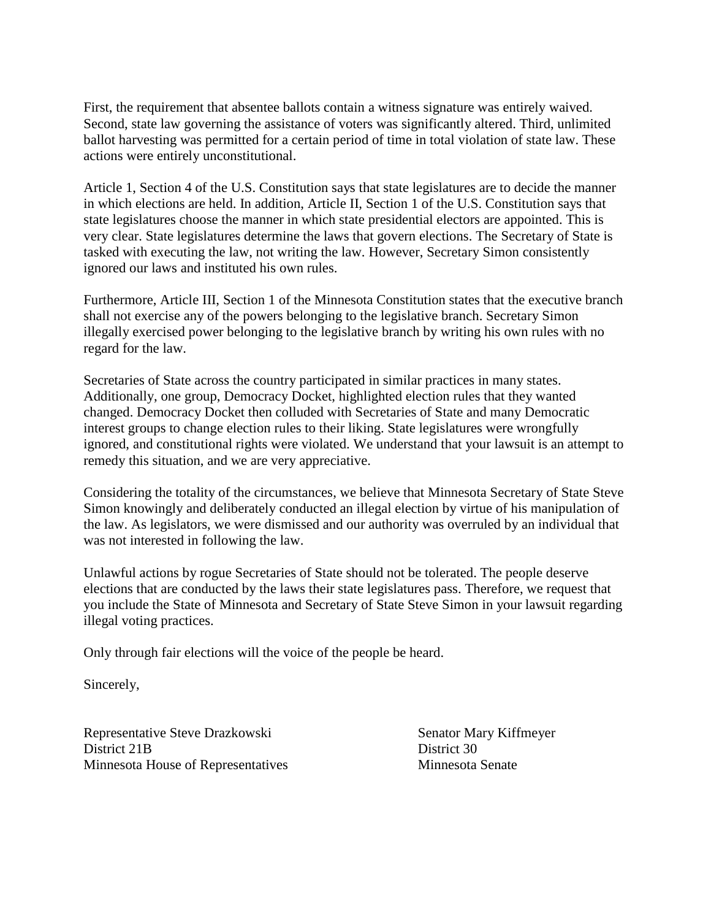First, the requirement that absentee ballots contain a witness signature was entirely waived. Second, state law governing the assistance of voters was significantly altered. Third, unlimited ballot harvesting was permitted for a certain period of time in total violation of state law. These actions were entirely unconstitutional.

Article 1, Section 4 of the U.S. Constitution says that state legislatures are to decide the manner in which elections are held. In addition, Article II, Section 1 of the U.S. Constitution says that state legislatures choose the manner in which state presidential electors are appointed. This is very clear. State legislatures determine the laws that govern elections. The Secretary of State is tasked with executing the law, not writing the law. However, Secretary Simon consistently ignored our laws and instituted his own rules.

Furthermore, Article III, Section 1 of the Minnesota Constitution states that the executive branch shall not exercise any of the powers belonging to the legislative branch. Secretary Simon illegally exercised power belonging to the legislative branch by writing his own rules with no regard for the law.

Secretaries of State across the country participated in similar practices in many states. Additionally, one group, Democracy Docket, highlighted election rules that they wanted changed. Democracy Docket then colluded with Secretaries of State and many Democratic interest groups to change election rules to their liking. State legislatures were wrongfully ignored, and constitutional rights were violated. We understand that your lawsuit is an attempt to remedy this situation, and we are very appreciative.

Considering the totality of the circumstances, we believe that Minnesota Secretary of State Steve Simon knowingly and deliberately conducted an illegal election by virtue of his manipulation of the law. As legislators, we were dismissed and our authority was overruled by an individual that was not interested in following the law.

Unlawful actions by rogue Secretaries of State should not be tolerated. The people deserve elections that are conducted by the laws their state legislatures pass. Therefore, we request that you include the State of Minnesota and Secretary of State Steve Simon in your lawsuit regarding illegal voting practices.

Only through fair elections will the voice of the people be heard.

Sincerely,

Representative Steve Drazkowski Senator Mary Kiffmeyer District 21B District 30 Minnesota House of Representatives Minnesota Senate